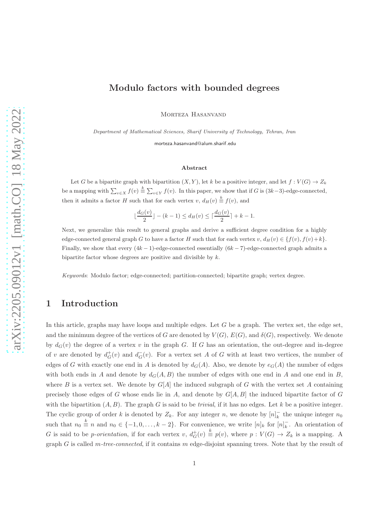# Modulo factors with bounded degrees

Morteza Hasanvand

Department of Mathematical Sciences, Sharif University of Technology, Tehran, Iran

morteza.hasanvand@alum.sharif.edu

#### Abstract

Let G be a bipartite graph with bipartition  $(X, Y)$ , let k be a positive integer, and let  $f: V(G) \to Z_k$ be a mapping with  $\sum_{v\in X} f(v) \stackrel{k}{\equiv} \sum_{v\in Y} f(v)$ . In this paper, we show that if G is  $(3k-3)$ -edge-connected, then it admits a factor H such that for each vertex  $v, d_H(v) \stackrel{k}{\equiv} f(v)$ , and

$$
\lfloor \frac{d_G(v)}{2} \rfloor - (k-1) \le d_H(v) \le \lceil \frac{d_G(v)}{2} \rceil + k - 1.
$$

Next, we generalize this result to general graphs and derive a sufficient degree condition for a highly edge-connected general graph G to have a factor H such that for each vertex v,  $d_H(v) \in \{f(v), f(v)+k\}.$ Finally, we show that every  $(4k - 1)$ -edge-connected essentially  $(6k - 7)$ -edge-connected graph admits a bipartite factor whose degrees are positive and divisible by k.

Keywords: Modulo factor; edge-connected; partition-connected; bipartite graph; vertex degree.

# 1 Introduction

In this article, graphs may have loops and multiple edges. Let G be a graph. The vertex set, the edge set, and the minimum degree of the vertices of G are denoted by  $V(G)$ ,  $E(G)$ , and  $\delta(G)$ , respectively. We denote by  $d_G(v)$  the degree of a vertex v in the graph G. If G has an orientation, the out-degree and in-degree of v are denoted by  $d_G^+(v)$  and  $d_G^-(v)$ . For a vertex set A of G with at least two vertices, the number of edges of G with exactly one end in A is denoted by  $d_G(A)$ . Also, we denote by  $e_G(A)$  the number of edges with both ends in A and denote by  $d_G(A, B)$  the number of edges with one end in A and one end in B, where B is a vertex set. We denote by  $G[A]$  the induced subgraph of G with the vertex set A containing precisely those edges of G whose ends lie in A, and denote by  $G[A, B]$  the induced bipartite factor of G with the bipartition  $(A, B)$ . The graph G is said to be *trivial*, if it has no edges. Let k be a positive integer. The cyclic group of order k is denoted by  $Z_k$ . For any integer n, we denote by  $[n]_k^ \overline{k}$  the unique integer  $n_0$ such that  $n_0 \stackrel{k}{\equiv} n$  and  $n_0 \in \{-1, 0, \ldots, k-2\}$ . For convenience, we write  $[n]_k$  for  $[n]_k^ \overline{k}$ . An orientation of G is said to be *p*-orientation, if for each vertex v,  $d_G^+(v) \stackrel{k}{\equiv} p(v)$ , where  $p: V(G) \to Z_k$  is a mapping. A graph G is called m*-tree-connected*, if it contains m edge-disjoint spanning trees. Note that by the result of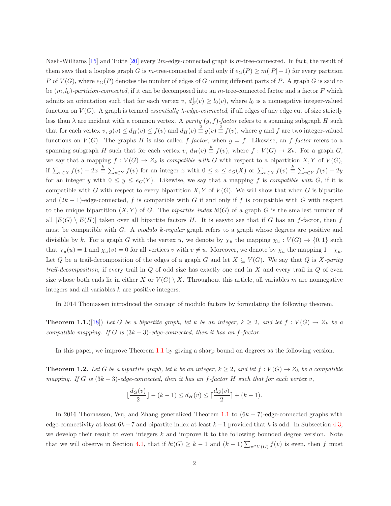Nash-Williams [\[15\]](#page-18-0) and Tutte [\[20\]](#page-19-0) every 2m-edge-connected graph is m-tree-connected. In fact, the result of them says that a loopless graph G is m-tree-connected if and only if  $e_G(P) \ge m(|P|-1)$  for every partition P of  $V(G)$ , where  $e_G(P)$  denotes the number of edges of G joining different parts of P. A graph G is said to be  $(m, l_0)$ -partition-connected, if it can be decomposed into an m-tree-connected factor and a factor F which admits an orientation such that for each vertex  $v, d^+_{F}(v) \geq l_0(v)$ , where  $l_0$  is a nonnegative integer-valued function on  $V(G)$ . A graph is termed *essentially*  $\lambda$ -edge-connected, if all edges of any edge cut of size strictly less than  $\lambda$  are incident with a common vertex. A *parity*  $(g, f)$ -factor refers to a spanning subgraph H such that for each vertex  $v, g(v) \le d_H(v) \le f(v)$  and  $d_H(v) \stackrel{2}{\equiv} g(v) \stackrel{2}{\equiv} f(v)$ , where g and f are two integer-valued functions on  $V(G)$ . The graphs H is also called f-factor, when  $g = f$ . Likewise, an f-factor refers to a spanning subgraph H such that for each vertex v,  $d_H(v) \triangleq f(v)$ , where  $f: V(G) \to Z_k$ . For a graph G, we say that a mapping  $f: V(G) \to Z_k$  is *compatible with* G with respect to a bipartition X, Y of  $V(G)$ , if  $\sum_{v\in X} f(v) - 2x \stackrel{k}{\equiv} \sum_{v\in Y} f(v)$  for an integer x with  $0 \le x \le e_G(X)$  or  $\sum_{v\in X} f(v) \stackrel{k}{\equiv} \sum_{v\in Y} f(v) - 2y$ for an integer y with  $0 \leq y \leq e_G(Y)$ . Likewise, we say that a mapping f is *compatible with* G, if it is compatible with G with respect to every bipartition  $X, Y$  of  $V(G)$ . We will show that when G is bipartite and  $(2k-1)$ -edge-connected, f is compatible with G if and only if f is compatible with G with respect to the unique bipartition  $(X, Y)$  of G. The *bipartite index*  $bi(G)$  of a graph G is the smallest number of all  $|E(G) \setminus E(H)|$  taken over all bipartite factors H. It is easyto see that if G has an f-factor, then f must be compatible with G. A *modulo* k*-regular* graph refers to a graph whose degrees are positive and divisible by k. For a graph G with the vertex u, we denote by  $\chi_u$  the mapping  $\chi_u : V(G) \to \{0, 1\}$  such that  $\chi_u(u) = 1$  and  $\chi_u(v) = 0$  for all vertices v with  $v \neq u$ . Moreover, we denote by  $\bar{\chi}_u$  the mapping  $1 - \chi_u$ . Let Q be a trail-decomposition of the edges of a graph G and let  $X \subseteq V(G)$ . We say that Q is X-parity *trail-decomposition*, if every trail in Q of odd size has exactly one end in X and every trail in Q of even size whose both ends lie in either X or  $V(G) \setminus X$ . Throughout this article, all variables m are nonnegative integers and all variables k are positive integers.

In 2014 Thomassen introduced the concept of modulo factors by formulating the following theorem.

**Theorem 1.1.**([\[18\]](#page-18-1)) Let G be a bipartite graph, let k be an integer,  $k \geq 2$ , and let  $f : V(G) \to Z_k$  be a *compatible mapping. If* G *is* (3k − 3)*-edge-connected, then it has an* f*-factor.*

In this paper, we improve Theorem [1.1](#page-1-0) by giving a sharp bound on degrees as the following version.

**Theorem 1.2.** Let G be a bipartite graph, let k be an integer,  $k \geq 2$ , and let  $f : V(G) \to Z_k$  be a compatible *mapping.* If G is  $(3k-3)$ -edge-connected, then it has an f-factor H such that for each vertex v,

<span id="page-1-0"></span>
$$
\lfloor \frac{d_G(v)}{2} \rfloor - (k-1) \le d_H(v) \le \lceil \frac{d_G(v)}{2} \rceil + (k-1).
$$

In 2016 Thomassen, Wu, and Zhang generalized Theorem [1.1](#page-1-0) to  $(6k - 7)$ -edge-connected graphs with edge-connectivity at least  $6k-7$  and bipartite index at least  $k-1$  provided that k is odd. In Subsection [4.3,](#page-12-0) we develop their result to even integers k and improve it to the following bounded degree version. Note that we will observe in Section [4.1,](#page-10-0) that if  $bi(G) \geq k-1$  and  $(k-1) \sum_{v \in V(G)} f(v)$  is even, then f must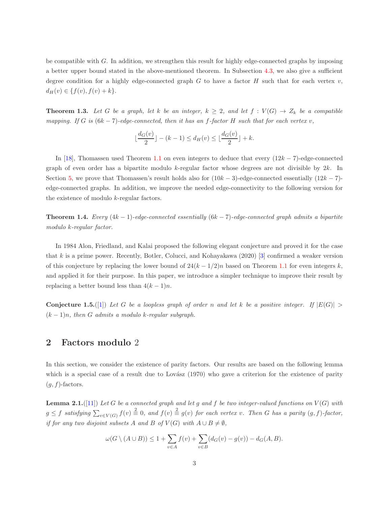be compatible with  $G$ . In addition, we strengthen this result for highly edge-connected graphs by imposing a better upper bound stated in the above-mentioned theorem. In Subsection [4.3,](#page-12-0) we also give a sufficient degree condition for a highly edge-connected graph G to have a factor H such that for each vertex  $v$ ,  $d_H(v) \in \{f(v), f(v) + k\}.$ 

**Theorem 1.3.** Let G be a graph, let k be an integer,  $k \geq 2$ , and let  $f : V(G) \to Z_k$  be a compatible *mapping.* If G is  $(6k - 7)$ -edge-connected, then it has an f-factor H such that for each vertex v,

$$
\lfloor \frac{d_G(v)}{2} \rfloor - (k-1) \le d_H(v) \le \lfloor \frac{d_G(v)}{2} \rfloor + k.
$$

In [\[18\]](#page-18-1), Thomassen used Theorem [1.1](#page-1-0) on even integers to deduce that every  $(12k - 7)$ -edge-connected graph of even order has a bipartite modulo  $k$ -regular factor whose degrees are not divisible by  $2k$ . In Section [5,](#page-15-0) we prove that Thomassen's result holds also for  $(10k - 3)$ -edge-connected essentially  $(12k - 7)$ edge-connected graphs. In addition, we improve the needed edge-connectivity to the following version for the existence of modulo k-regular factors.

Theorem 1.4. *Every* (4k − 1)*-edge-connected essentially* (6k − 7)*-edge-connected graph admits a bipartite modulo* k*-regular factor.*

In 1984 Alon, Friedland, and Kalai proposed the following elegant conjecture and proved it for the case that k is a prime power. Recently, Botler, Colucci, and Kohayakawa  $(2020)$  [\[3\]](#page-18-2) confirmed a weaker version of this conjecture by replacing the lower bound of  $24(k - 1/2)n$  based on Theorem [1.1](#page-1-0) for even integers k, and applied it for their purpose. In this paper, we introduce a simpler technique to improve their result by replacing a better bound less than  $4(k-1)n$ .

<span id="page-2-1"></span>**Conjecture 1.5.**([\[1\]](#page-18-3)) Let G be a loopless graph of order n and let k be a positive integer. If  $|E(G)| >$ (k − 1)n*, then* G *admits a modulo* k*-regular subgraph.*

## 2 Factors modulo 2

<span id="page-2-0"></span>In this section, we consider the existence of parity factors. Our results are based on the following lemma which is a special case of a result due to Lovász  $(1970)$  who gave a criterion for the existence of parity  $(q, f)$ -factors.

**Lemma 2.1.**([\[11\]](#page-18-4)) Let G be a connected graph and let g and f be two integer-valued functions on  $V(G)$  with  $g \leq f$  satisfying  $\sum_{v \in V(G)} f(v) \stackrel{2}{\equiv} 0$ , and  $f(v) \stackrel{2}{\equiv} g(v)$  for each vertex v. Then G has a parity  $(g, f)$ -factor, *if for any two disjoint subsets* A *and* B *of*  $V(G)$  *with*  $A \cup B \neq \emptyset$ *,* 

$$
\omega(G \setminus (A \cup B)) \le 1 + \sum_{v \in A} f(v) + \sum_{v \in B} (d_G(v) - g(v)) - d_G(A, B).
$$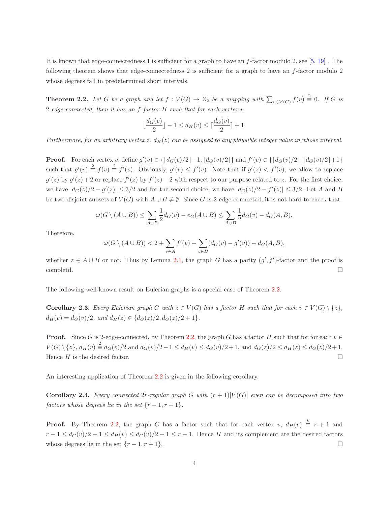It is known that edge-connectedness 1 is sufficient for a graph to have an  $f$ -factor modulo 2, see [\[5,](#page-18-5) [19\]](#page-19-1). The following theorem shows that edge-connectedness 2 is sufficient for a graph to have an f-factor modulo 2 whose degrees fall in predetermined short intervals.

**Theorem 2.2.** Let G be a graph and let  $f: V(G) \to Z_2$  be a mapping with  $\sum_{v \in V(G)} f(v) \stackrel{2}{\equiv} 0$ . If G is 2*-edge-connected, then it has an* f*-factor* H *such that for each vertex* v*,*

<span id="page-3-0"></span>
$$
\lfloor \frac{d_G(v)}{2} \rfloor - 1 \le d_H(v) \le \lceil \frac{d_G(v)}{2} \rceil + 1.
$$

*Furthermore, for an arbitrary vertex* z,  $d_H(z)$  *can be assigned to any plausible integer value in whose interval.* 

**Proof.** For each vertex v, define  $g'(v) \in \{ [d_G(v)/2] - 1, [d_G(v)/2] \}$  and  $f'(v) \in \{ [d_G(v)/2], [d_G(v)/2] + 1 \}$ such that  $g'(v) \triangleq f(v) \triangleq f'(v)$ . Obviously,  $g'(v) \leq f'(v)$ . Note that if  $g'(z) < f'(v)$ , we allow to replace  $g'(z)$  by  $g'(z) + 2$  or replace  $f'(z)$  by  $f'(z) - 2$  with respect to our purpose related to z. For the first choice, we have  $|d_G(z)/2 - g'(z)| \leq 3/2$  and for the second choice, we have  $|d_G(z)/2 - f'(z)| \leq 3/2$ . Let A and B be two disjoint subsets of  $V(G)$  with  $A \cup B \neq \emptyset$ . Since G is 2-edge-connected, it is not hard to check that

$$
\omega(G \setminus (A \cup B)) \le \sum_{A \cup B} \frac{1}{2} d_G(v) - e_G(A \cup B) \le \sum_{A \cup B} \frac{1}{2} d_G(v) - d_G(A, B).
$$

Therefore,

<span id="page-3-1"></span>
$$
\omega(G \setminus (A \cup B)) < 2 + \sum_{v \in A} f'(v) + \sum_{v \in B} (d_G(v) - g'(v)) - d_G(A, B),
$$

whether  $z \in A \cup B$  or not. Thus by Lemma [2.1,](#page-2-0) the graph G has a parity  $(g', f')$ -factor and the proof is completd.

The following well-known result on Eulerian graphs is a special case of Theorem [2.2.](#page-3-0)

**Corollary 2.3.** *Every Eulerian graph* G *with*  $z \in V(G)$  *has a factor* H *such that for each*  $v \in V(G) \setminus \{z\}$ ,  $d_H(v) = d_G(v)/2$ , and  $d_H(z) \in \{d_G(z)/2, d_G(z)/2 + 1\}.$ 

**Proof.** Since G is 2-edge-connected, by Theorem [2.2,](#page-3-0) the graph G has a factor H such that for for each  $v \in$  $V(G) \setminus \{z\}, d_H(v) \stackrel{2}{\equiv} d_G(v)/2$  and  $d_G(v)/2 - 1 \leq d_H(v) \leq d_G(v)/2 + 1$ , and  $d_G(z)/2 \leq d_H(z) \leq d_G(z)/2 + 1$ . Hence H is the desired factor.

An interesting application of Theorem [2.2](#page-3-0) is given in the following corollary.

**Corollary 2.4.** *Every connected 2r-regular graph* G with  $(r + 1)|V(G)|$  *even can be decomposed into two factors whose degrees lie in the set*  $\{r-1, r+1\}$ *.* 

**Proof.** By Theorem [2.2,](#page-3-0) the graph G has a factor such that for each vertex v,  $d_H(v) \triangleq r + 1$  and  $r-1 \leq d_G(v)/2-1 \leq d_H(v) \leq d_G(v)/2+1 \leq r+1$ . Hence H and its complement are the desired factors whose degrees lie in the set  $\{r-1, r+1\}$ .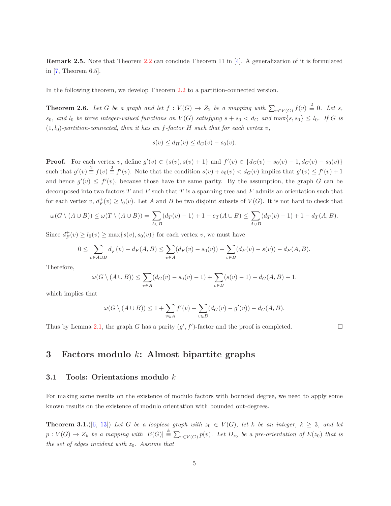Remark 2.5. Note that Theorem [2.2](#page-3-0) can conclude Theorem 11 in [\[4\]](#page-18-6). A generalization of it is formulated in [\[7,](#page-18-7) Theorem 6.5].

In the following theorem, we develop Theorem [2.2](#page-3-0) to a partition-connected version.

**Theorem 2.6.** Let G be a graph and let  $f: V(G) \to Z_2$  be a mapping with  $\sum_{v \in V(G)} f(v) \stackrel{2}{\equiv} 0$ . Let s,  $s_0$ *, and*  $l_0$  *be three integer-valued functions on*  $V(G)$  *satisfying*  $s + s_0 < d_G$  *and*  $\max\{s, s_0\} \leq l_0$ *. If* G *is*  $(1, l_0)$ -partition-connected, then it has an f-factor H such that for each vertex v,

$$
s(v) \le d_H(v) \le d_G(v) - s_0(v).
$$

**Proof.** For each vertex v, define  $g'(v) \in \{s(v), s(v) + 1\}$  and  $f'(v) \in \{d_G(v) - s_0(v) - 1, d_G(v) - s_0(v)\}$ such that  $g'(v) \stackrel{2}{\equiv} f(v) \stackrel{?}{\equiv} f'(v)$ . Note that the condition  $s(v) + s_0(v) < d_G(v)$  implies that  $g'(v) \le f'(v) + 1$ and hence  $g'(v) \leq f'(v)$ , because those have the same parity. By the assumption, the graph G can be decomposed into two factors  $T$  and  $F$  such that  $T$  is a spanning tree and  $F$  admits an orientation such that for each vertex  $v, d_F^+(v) \ge l_0(v)$ . Let A and B be two disjoint subsets of  $V(G)$ . It is not hard to check that

$$
\omega(G \setminus (A \cup B)) \le \omega(T \setminus (A \cup B)) = \sum_{A \cup B} (d_T(v) - 1) + 1 - e_T(A \cup B) \le \sum_{A \cup B} (d_T(v) - 1) + 1 - d_T(A, B).
$$

Since  $d_F^+(v) \ge l_0(v) \ge \max\{s(v), s_0(v)\}\)$  for each vertex v, we must have

$$
0 \leq \sum_{v \in A \cup B} d_F^-(v) - d_F(A, B) \leq \sum_{v \in A} (d_F(v) - s_0(v)) + \sum_{v \in B} (d_F(v) - s(v)) - d_F(A, B).
$$

Therefore,

$$
\omega(G \setminus (A \cup B)) \le \sum_{v \in A} (d_G(v) - s_0(v) - 1) + \sum_{v \in B} (s(v) - 1) - d_G(A, B) + 1.
$$

which implies that

$$
\omega(G \setminus (A \cup B)) \le 1 + \sum_{v \in A} f'(v) + \sum_{v \in B} (d_G(v) - g'(v)) - d_G(A, B).
$$

Thus by Lemma [2.1,](#page-2-0) the graph G has a parity  $(g', f')$ -factor and the proof is completed.

<span id="page-4-0"></span>

# 3 Factors modulo k: Almost bipartite graphs

#### 3.1 Tools: Orientations modulo k

For making some results on the existence of modulo factors with bounded degree, we need to apply some known results on the existence of modulo orientation with bounded out-degrees.

**Theorem 3.1.**([\[6,](#page-18-8) [13\]](#page-18-9)) Let G be a loopless graph with  $z_0 \in V(G)$ , let k be an integer,  $k \geq 3$ , and let  $p: V(G) \to Z_k$  be a mapping with  $|E(G)| \stackrel{k}{\equiv} \sum_{v \in V(G)} p(v)$ . Let  $D_{z_0}$  be a pre-orientation of  $E(z_0)$  that is *the set of edges incident with*  $z_0$ *. Assume that*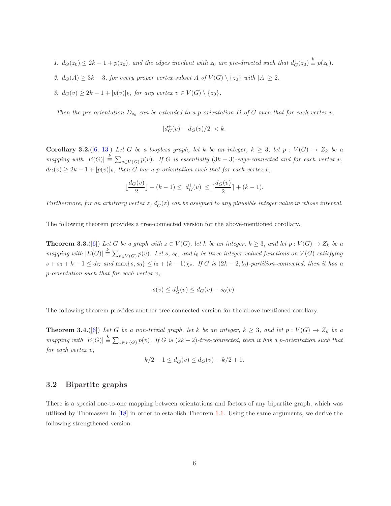1.  $d_G(z_0) \leq 2k - 1 + p(z_0)$ , and the edges incident with  $z_0$  are pre-directed such that  $d_G^+(z_0) \stackrel{k}{\equiv} p(z_0)$ .

- 2.  $d_G(A) \geq 3k 3$ , for every proper vertex subset A of  $V(G) \setminus \{z_0\}$  with  $|A| \geq 2$ .
- *3.*  $d_G(v) \geq 2k 1 + [p(v)]_k$ , for any vertex  $v \in V(G) \setminus \{z_0\}.$

*Then the pre-orientation*  $D_{z_0}$  *can be extended to a p-orientation* D *of* G *such that for each vertex* v*,* 

$$
|d_G^+(v) - d_G(v)/2| < k.
$$

<span id="page-5-0"></span>Corollary 3.2.([\[6,](#page-18-8) [13\]](#page-18-9)) Let G be a loopless graph, let k be an integer,  $k \geq 3$ , let  $p : V(G) \to Z_k$  be a  $mapping \ with \ |E(G)| \triangleq \sum_{v \in V(G)} p(v)$ . If G is essentially  $(3k-3)$ -edge-connected and for each vertex v,  $d_G(v) \geq 2k - 1 + [p(v)]_k$ , then G has a p-orientation such that for each vertex v,

$$
\lfloor \frac{d_G(v)}{2} \rfloor - (k-1) \le d_G^+(v) \le \lceil \frac{d_G(v)}{2} \rceil + (k-1).
$$

 $Furthermore, for an arbitrary vertex  $z$ ,  $d_G^+(z)$  can be assigned to any plausible integer value in whose interval.$ 

The following theorem provides a tree-connected version for the above-mentioned corollary.

**Theorem 3.3.**([\[6\]](#page-18-8)) Let G be a graph with  $z \in V(G)$ , let k be an integer,  $k \geq 3$ , and let  $p: V(G) \to Z_k$  be a  $mapping \ with \ |E(G)| \stackrel{k}{\equiv} \sum_{v \in V(G)} p(v)$ . Let s, s<sub>0</sub>, and l<sub>0</sub> be three integer-valued functions on  $V(G)$  satisfying  $s + s_0 + k - 1 \leq d_G$  and  $\max\{s, s_0\} \leq l_0 + (k-1)\overline{\chi}_z$ . If G is  $(2k-2, l_0)$ -partition-connected, then it has a p*-orientation such that for each vertex* v*,*

<span id="page-5-3"></span><span id="page-5-2"></span>
$$
s(v) \le d_G^+(v) \le d_G(v) - s_0(v).
$$

The following theorem provides another tree-connected version for the above-mentioned corollary.

**Theorem 3.4.**([\[6\]](#page-18-8)) Let G be a non-trivial graph, let k be an integer,  $k \geq 3$ , and let  $p : V(G) \to Z_k$  be a *mapping with*  $|E(G)| \stackrel{k}{\equiv} \sum_{v \in V(G)} p(v)$ . If G is  $(2k-2)$ -tree-connected, then it has a p-orientation such that *for each vertex* v*,*

$$
k/2 - 1 \le d_G^+(v) \le d_G(v) - k/2 + 1.
$$

### 3.2 Bipartite graphs

<span id="page-5-1"></span>There is a special one-to-one mapping between orientations and factors of any bipartite graph, which was utilized by Thomassen in [\[18\]](#page-18-1) in order to establish Theorem [1.1.](#page-1-0) Using the same arguments, we derive the following strengthened version.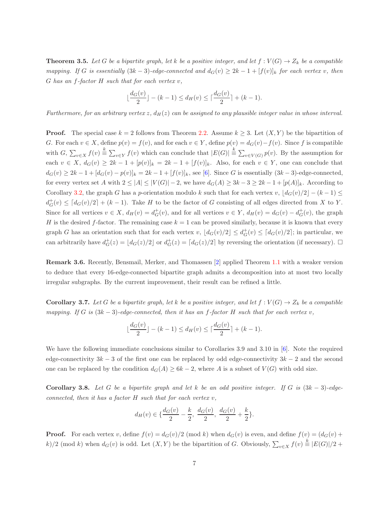**Theorem 3.5.** Let G be a bipartite graph, let k be a positive integer, and let  $f: V(G) \to Z_k$  be a compatible *mapping.* If G is essentially  $(3k-3)$ -edge-connected and  $d_G(v) \geq 2k-1 + [f(v)]_k$  for each vertex v, then G *has an* f*-factor* H *such that for each vertex* v*,*

$$
\lfloor \frac{d_G(v)}{2} \rfloor - (k-1) \le d_H(v) \le \lceil \frac{d_G(v)}{2} \rceil + (k-1).
$$

*Furthermore, for an arbitrary vertex* z,  $d_H(z)$  *can be assigned to any plausible integer value in whose interval.* 

**Proof.** The special case  $k = 2$  follows from Theorem [2.2.](#page-3-0) Assume  $k \geq 3$ . Let  $(X, Y)$  be the bipartition of G. For each  $v \in X$ , define  $p(v) = f(v)$ , and for each  $v \in Y$ , define  $p(v) = d_G(v) - f(v)$ . Since f is compatible with  $G, \sum_{v \in X} f(v) \stackrel{k}{\equiv} \sum_{v \in Y} f(v)$  which can conclude that  $|E(G)| \stackrel{k}{\equiv} \sum_{v \in V(G)} p(v)$ . By the assumption for each  $v \in X$ ,  $d_G(v) \geq 2k-1 + [p(v)]_k = 2k-1 + [f(v)]_k$ . Also, for each  $v \in Y$ , one can conclude that  $d_G(v) \ge 2k - 1 + [d_G(v) - p(v)]_k = 2k - 1 + [f(v)]_k$ , see [\[6\]](#page-18-8). Since G is essentially  $(3k-3)$ -edge-connected, for every vertex set A with  $2 \leq |A| \leq |V(G)| - 2$ , we have  $d_G(A) \geq 3k - 3 \geq 2k - 1 + [p(A)]_k$ . According to Corollary [3.2,](#page-5-0) the graph G has a p-orientation modulo k such that for each vertex v,  $|d_G(v)/2| - (k-1) \le$  $d_G^+(v) \leq [d_G(v)/2] + (k-1)$ . Take H to be the factor of G consisting of all edges directed from X to Y. Since for all vertices  $v \in X$ ,  $d_H(v) = d_G^+(v)$ , and for all vertices  $v \in Y$ ,  $d_H(v) = d_G(v) - d_G^+(v)$ , the graph H is the desired f-factor. The remaining case  $k = 1$  can be proved similarly, because it is known that every graph G has an orientation such that for each vertex v,  $\lfloor d_G(v)/2 \rfloor \leq d_G^+(v) \leq \lceil d_G(v)/2 \rceil$ ; in particular, we can arbitrarily have  $d_G^+(z) = \lfloor d_G(z)/2 \rfloor$  or  $d_G^+(z) = \lceil d_G(z)/2 \rceil$  by reversing the orientation (if necessary).  $\Box$ 

Remark 3.6. Recently, Bensmail, Merker, and Thomassen [\[2\]](#page-18-10) applied Theorem [1.1](#page-1-0) with a weaker version to deduce that every 16-edge-connected bipartite graph admits a decomposition into at most two locally irregular subgraphs. By the current improvement, their result can be refined a little.

<span id="page-6-0"></span>**Corollary 3.7.** Let G be a bipartite graph, let k be a positive integer, and let  $f: V(G) \to Z_k$  be a compatible *mapping. If* G *is* (3k − 3)*-edge-connected, then it has an* f*-factor* H *such that for each vertex* v*,*

$$
\lfloor \frac{d_G(v)}{2} \rfloor - (k-1) \le d_H(v) \le \lceil \frac{d_G(v)}{2} \rceil + (k-1).
$$

We have the following immediate conclusions similar to Corollaries 3.9 and 3.10 in [\[6\]](#page-18-8). Note the required edge-connectivity  $3k-3$  of the first one can be replaced by odd edge-connectivity  $3k-2$  and the second one can be replaced by the condition  $d_G(A) \geq 6k - 2$ , where A is a subset of  $V(G)$  with odd size.

Corollary 3.8. *Let* G *be a bipartite graph and let* k *be an odd positive integer. If* G *is* (3k − 3)*-edgeconnected, then it has a factor* H *such that for each vertex* v*,*

$$
d_H(v) \in \{\frac{d_G(v)}{2} - \frac{k}{2}, \ \frac{d_G(v)}{2}, \ \frac{d_G(v)}{2} + \frac{k}{2}\}.
$$

**Proof.** For each vertex v, define  $f(v) = d_G(v)/2$  (mod k) when  $d_G(v)$  is even, and define  $f(v) = (d_G(v) + d_G(v))$ k)/2 (mod k) when  $d_G(v)$  is odd. Let  $(X, Y)$  be the bipartition of G. Obviously,  $\sum_{v \in X} f(v) \stackrel{k}{=} |E(G)|/2 +$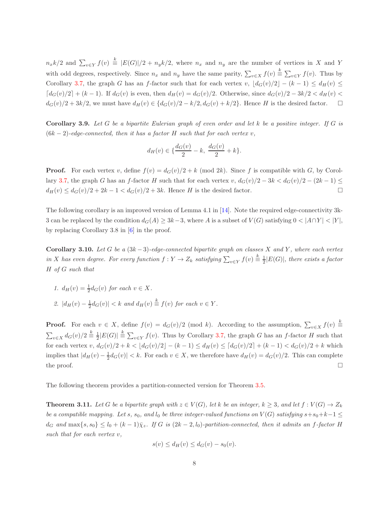$n_x k/2$  and  $\sum_{v \in Y} f(v) \stackrel{k}{=} |E(G)|/2 + n_y k/2$ , where  $n_x$  and  $n_y$  are the number of vertices in X and Y with odd degrees, respectively. Since  $n_x$  and  $n_y$  have the same parity,  $\sum_{v \in X} f(v) \stackrel{k}{=} \sum_{v \in Y} f(v)$ . Thus by Corollary [3.7,](#page-6-0) the graph G has an f-factor such that for each vertex v,  $\lfloor d_G(v)/2 \rfloor - (k-1) \le d_H(v) \le$  $\lceil d_G(v)/2 \rceil + (k-1)$ . If  $d_G(v)$  is even, then  $d_H(v) = d_G(v)/2$ . Otherwise, since  $d_G(v)/2 - 3k/2 < d_H(v)$  $d_G(v)/2 + 3k/2$ , we must have  $d_H(v) \in \{d_G(v)/2 - k/2, d_G(v) + k/2\}$ . Hence H is the desired factor.  $\square$ 

<span id="page-7-0"></span>Corollary 3.9. *Let* G *be a bipartite Eulerian graph of even order and let* k *be a positive integer. If* G *is* (6k − 2)*-edge-connected, then it has a factor* H *such that for each vertex* v*,*

$$
d_H(v) \in \{\frac{d_G(v)}{2} - k, \ \frac{d_G(v)}{2} + k\}.
$$

**Proof.** For each vertex v, define  $f(v) = d_G(v)/2 + k \pmod{2k}$ . Since f is compatible with G, by Corol-lary [3.7,](#page-6-0) the graph G has an f-factor H such that for each vertex v,  $d_G(v)/2 - 3k < d_G(v)/2 - (2k-1) \le$  $d_H(v) \leq d_G(v)/2 + 2k - 1 < d_G(v)/2 + 3k$ . Hence H is the desired factor.

The following corollary is an improved version of Lemma 4.1 in [\[14\]](#page-18-11). Note the required edge-connectivity 3k-3 can be replaced by the condition  $d_G(A) \geq 3k-3$ , where A is a subset of  $V(G)$  satisfying  $0 < |A \cap Y| < |Y|$ , by replacing Corollary 3.8 in [\[6\]](#page-18-8) in the proof.

Corollary 3.10. Let G be a  $(3k-3)$ -edge-connected bipartite graph on classes X and Y, where each vertex *in* X has even degree. For every function  $f: Y \to Z_k$  satisfying  $\sum_{v \in Y} f(v) \stackrel{k}{\equiv} \frac{1}{2} |E(G)|$ , there exists a factor H *of* G *such that*

*1.*  $d_H(v) = \frac{1}{2} d_G(v)$  *for each*  $v \in X$ *.* 2.  $|d_H(v) - \frac{1}{2}d_G(v)| < k$  *and*  $d_H(v) \stackrel{k}{\equiv} f(v)$  *for each*  $v \in Y$ *.* 

**Proof.** For each  $v \in X$ , define  $f(v) = d_G(v)/2$  (mod k). According to the assumption,  $\sum_{v \in X} f(v) \stackrel{k}{=}$  $\sum_{v\in X} d_G(v)/2 \stackrel{k}{\equiv} \frac{1}{2}|E(G)| \stackrel{k}{\equiv} \sum_{v\in Y} f(v)$ . Thus by Corollary [3.7,](#page-6-0) the graph G has an f-factor H such that for each vertex v,  $d_G(v)/2 + k < |d_G(v)/2| - (k-1) \le d_H(v) \le [d_G(v)/2] + (k-1) < d_G(v)/2 + k$  which implies that  $|d_H(v) - \frac{1}{2}d_G(v)| < k$ . For each  $v \in X$ , we therefore have  $d_H(v) = d_G(v)/2$ . This can complete the proof.  $\Box$ 

The following theorem provides a partition-connected version for Theorem [3.5.](#page-5-1)

**Theorem 3.11.** Let G be a bipartite graph with  $z \in V(G)$ , let k be an integer,  $k \geq 3$ , and let  $f : V(G) \to Z_k$ *be a compatible mapping. Let* s, s<sub>0</sub>, and  $l_0$  *be three integer-valued functions on*  $V(G)$  *satisfying*  $s+s_0+k-1 \leq$  $d_G$  and  $\max\{s, s_0\} \leq l_0 + (k-1)\overline{\chi}_z$ . If G is  $(2k-2, l_0)$ -partition-connected, then it admits an f-factor H *such that for each vertex* v*,*

$$
s(v) \le d_H(v) \le d_G(v) - s_0(v).
$$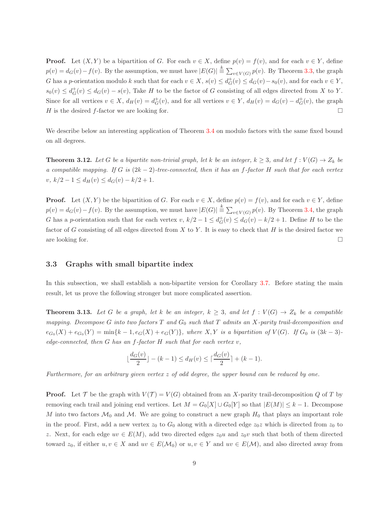**Proof.** Let  $(X, Y)$  be a bipartition of G. For each  $v \in X$ , define  $p(v) = f(v)$ , and for each  $v \in Y$ , define  $p(v) = d_G(v) - f(v)$ . By the assumption, we must have  $|E(G)| \stackrel{k}{\equiv} \sum_{v \in V(G)} p(v)$ . By Theorem [3.3,](#page-5-2) the graph G has a p-orientation modulo k such that for each  $v \in X$ ,  $s(v) \le d_G^+(v) \le d_G(v) - s_0(v)$ , and for each  $v \in Y$ ,  $s_0(v) \leq d_G^+(v) \leq d_G(v) - s(v)$ , Take H to be the factor of G consisting of all edges directed from X to Y. Since for all vertices  $v \in X$ ,  $d_H(v) = d_G^+(v)$ , and for all vertices  $v \in Y$ ,  $d_H(v) = d_G(v) - d_G^+(v)$ , the graph H is the desired f-factor we are looking for.  $\Box$ 

<span id="page-8-1"></span>We describe below an interesting application of Theorem [3.4](#page-5-3) on modulo factors with the same fixed bound on all degrees.

**Theorem 3.12.** Let G be a bipartite non-trivial graph, let k be an integer,  $k \geq 3$ , and let  $f: V(G) \to Z_k$  be *a compatible mapping. If* G *is* (2k − 2)*-tree-connected, then it has an* f*-factor* H *such that for each vertex*  $v, k/2 - 1 \le d_H(v) \le d_G(v) - k/2 + 1.$ 

**Proof.** Let  $(X, Y)$  be the bipartition of G. For each  $v \in X$ , define  $p(v) = f(v)$ , and for each  $v \in Y$ , define  $p(v) = d_G(v) - f(v)$ . By the assumption, we must have  $|E(G)| \stackrel{k}{\equiv} \sum_{v \in V(G)} p(v)$ . By Theorem [3.4,](#page-5-3) the graph G has a p-orientation such that for each vertex v,  $k/2 - 1 \le d_G^+(v) \le d_G(v) - k/2 + 1$ . Define H to be the factor of G consisting of all edges directed from  $X$  to  $Y$ . It is easy to check that  $H$  is the desired factor we are looking for.  $\Box$ 

### 3.3 Graphs with small bipartite index

In this subsection, we shall establish a non-bipartite version for Corollary [3.7.](#page-6-0) Before stating the main result, let us prove the following stronger but more complicated assertion.

**Theorem 3.13.** Let G be a graph, let k be an integer,  $k \geq 3$ , and let  $f: V(G) \rightarrow Z_k$  be a compatible *mapping. Decompose* G *into two factors* T *and* G<sup>0</sup> *such that* T *admits an* X*-parity trail-decomposition and*  $e_{G_0}(X) + e_{G_0}(Y) = \min\{k-1, e_G(X) + e_G(Y)\}\$ , where  $X, Y$  is a bipartition of  $V(G)$ . If  $G_0$  is  $(3k-3)$ *edge-connected, then* G *has an* f*-factor* H *such that for each vertex* v*,*

<span id="page-8-0"></span>
$$
\lfloor \frac{d_G(v)}{2} \rfloor - (k-1) \le d_H(v) \le \lceil \frac{d_G(v)}{2} \rceil + (k-1).
$$

*Furthermore, for an arbitrary given vertex* z *of odd degree, the upper bound can be reduced by one.*

**Proof.** Let T be the graph with  $V(T) = V(G)$  obtained from an X-parity trail-decomposition Q of T by removing each trail and joining end vertices. Let  $M = G_0[X] \cup G_0[Y]$  so that  $|E(M)| \leq k - 1$ . Decompose M into two factors  $\mathcal{M}_0$  and  $\mathcal{M}$ . We are going to construct a new graph  $H_0$  that plays an important role in the proof. First, add a new vertex  $z_0$  to  $G_0$  along with a directed edge  $z_0z$  which is directed from  $z_0$  to z. Next, for each edge  $uv \in E(M)$ , add two directed edges  $z_0u$  and  $z_0v$  such that both of them directed toward  $z_0$ , if either  $u, v \in X$  and  $uv \in E(\mathcal{M}_0)$  or  $u, v \in Y$  and  $uv \in E(\mathcal{M})$ , and also directed away from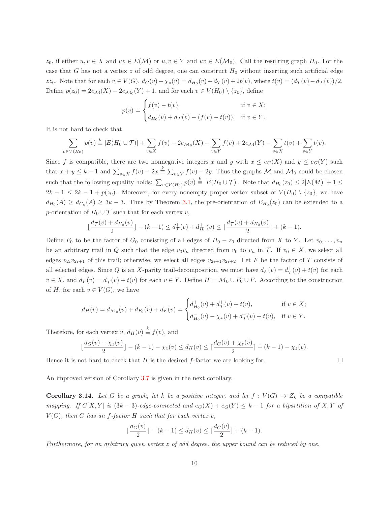$z_0$ , if either  $u, v \in X$  and  $uv \in E(\mathcal{M})$  or  $u, v \in Y$  and  $uv \in E(\mathcal{M}_0)$ . Call the resulting graph  $H_0$ . For the case that G has not a vertex z of odd degree, one can construct  $H_0$  without inserting such artificial edge zz<sub>0</sub>. Note that for each  $v \in V(G)$ ,  $d_G(v) + \chi_z(v) = d_{H_0}(v) + d_{\mathcal{T}}(v) + 2t(v)$ , where  $t(v) = (d_T(v) - d_{\mathcal{T}}(v))/2$ . Define  $p(z_0) = 2e_{\mathcal{M}}(X) + 2e_{\mathcal{M}_0}(Y) + 1$ , and for each  $v \in V(H_0) \setminus \{z_0\}$ , define

$$
p(v) = \begin{cases} f(v) - t(v), & \text{if } v \in X; \\ d_{H_0}(v) + d_{\mathcal{T}}(v) - (f(v) - t(v)), & \text{if } v \in Y. \end{cases}
$$

It is not hard to check that

$$
\sum_{v \in V(H_0)} p(v) \stackrel{k}{=} |E(H_0 \cup \mathcal{T})| + \sum_{v \in X} f(v) - 2e_{\mathcal{M}_0}(X) - \sum_{v \in Y} f(v) + 2e_{\mathcal{M}}(Y) - \sum_{v \in X} t(v) + \sum_{v \in Y} t(v).
$$

Since f is compatible, there are two nonnegative integers x and y with  $x \leq e_G(X)$  and  $y \leq e_G(Y)$  such that  $x + y \leq k - 1$  and  $\sum_{v \in X} f(v) - 2x \stackrel{k}{=} \sum_{v \in Y} f(v) - 2y$ . Thus the graphs M and  $\mathcal{M}_0$  could be chosen such that the following equality holds:  $\sum_{v \in V(H_0)} p(v) \stackrel{k}{\equiv} |E(H_0 \cup \mathcal{T})|$ . Note that  $d_{H_0}(z_0) \leq 2|E(M)| + 1 \leq$  $2k-1 \leq 2k-1+p(z_0)$ . Moreover, for every nonempty proper vertex subset of  $V(H_0) \setminus \{z_0\}$ , we have  $d_{H_0}(A) \geq d_{G_0}(A) \geq 3k-3$ . Thus by Theorem [3.1,](#page-4-0) the pre-orientation of  $E_{H_0}(z_0)$  can be extended to a p-orientation of  $H_0 \cup \mathcal{T}$  such that for each vertex v,

$$
\lfloor \frac{d_{\mathcal{T}}(v) + d_{H_0}(v)}{2} \rfloor - (k-1) \leq d_{\mathcal{T}}^+(v) + d_{H_0}^+(v) \leq \lceil \frac{d_{\mathcal{T}}(v) + d_{H_0}(v)}{2} \rceil + (k-1).
$$

Define  $F_0$  to be the factor of  $G_0$  consisting of all edges of  $H_0 - z_0$  directed from X to Y. Let  $v_0, \ldots, v_n$ be an arbitrary trail in Q such that the edge  $v_0v_n$  directed from  $v_0$  to  $v_n$  in T. If  $v_0 \in X$ , we select all edges  $v_{2i}v_{2i+1}$  of this trail; otherwise, we select all edges  $v_{2i+1}v_{2i+2}$ . Let F be the factor of T consists of all selected edges. Since Q is an X-parity trail-decomposition, we must have  $d_F(v) = d^+_{\mathcal{T}}(v) + t(v)$  for each  $v \in X$ , and  $d_F(v) = d_{\mathcal{T}}^-(v) + t(v)$  for each  $v \in Y$ . Define  $H = \mathcal{M}_0 \cup F_0 \cup F$ . According to the construction of H, for each  $v \in V(G)$ , we have

$$
d_H(v) = d_{\mathcal{M}_0}(v) + d_{F_0}(v) + d_F(v) = \begin{cases} d^+_{H_0}(v) + d^+_{\mathcal{T}}(v) + t(v), & \text{if } v \in X; \\ d^-_{H_0}(v) - \chi_z(v) + d^-_{\mathcal{T}}(v) + t(v), & \text{if } v \in Y. \end{cases}
$$

Therefore, for each vertex  $v, d_H(v) \stackrel{k}{\equiv} f(v)$ , and

$$
\lfloor \frac{d_G(v) + \chi_z(v)}{2} \rfloor - (k-1) - \chi_z(v) \le d_H(v) \le \lceil \frac{d_G(v) + \chi_z(v)}{2} \rceil + (k-1) - \chi_z(v).
$$

Hence it is not hard to check that H is the desired f-factor we are looking for.  $\Box$ 

An improved version of Corollary [3.7](#page-6-0) is given in the next corollary.

Corollary 3.14. Let G be a graph, let k be a positive integer, and let  $f: V(G) \to Z_k$  be a compatible *mapping.* If  $G[X, Y]$  *is*  $(3k - 3)$ *-edge-connected and*  $e_G(X) + e_G(Y) \leq k - 1$  *for a bipartition of* X, Y *of*  $V(G)$ *, then* G has an f-factor H such that for each vertex v,

<span id="page-9-0"></span>
$$
\lfloor \frac{d_G(v)}{2} \rfloor - (k-1) \le d_H(v) \le \lceil \frac{d_G(v)}{2} \rceil + (k-1).
$$

*Furthermore, for an arbitrary given vertex* z *of odd degree, the upper bound can be reduced by one.*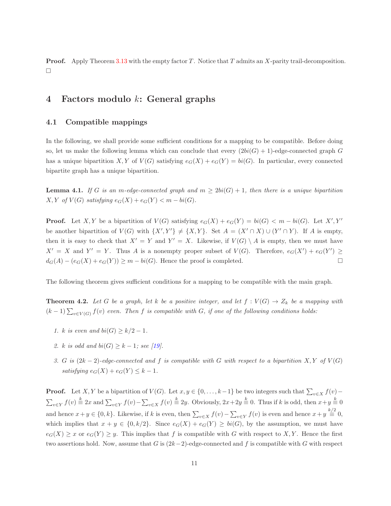**Proof.** Apply Theorem [3.13](#page-8-0) with the empty factor  $T$ . Notice that  $T$  admits an  $X$ -parity trail-decomposition.  $\Box$ 

# <span id="page-10-0"></span>4 Factors modulo k: General graphs

### 4.1 Compatible mappings

In the following, we shall provide some sufficient conditions for a mapping to be compatible. Before doing so, let us make the following lemma which can conclude that every  $(2bi(G) + 1)$ -edge-connected graph G has a unique bipartition X, Y of  $V(G)$  satisfying  $e_G(X) + e_G(Y) = bi(G)$ . In particular, every connected bipartite graph has a unique bipartition.

<span id="page-10-1"></span>**Lemma 4.1.** *If* G is an m-edge-connected graph and  $m \geq 2bi(G) + 1$ , then there is a unique bipartition  $X, Y \text{ of } V(G) \text{ satisfying } e_G(X) + e_G(Y) < m - bi(G).$ 

**Proof.** Let X, Y be a bipartition of  $V(G)$  satisfying  $e_G(X) + e_G(Y) = bi(G) < m - bi(G)$ . Let X', Y' be another bipartition of  $V(G)$  with  $\{X', Y'\} \neq \{X, Y\}$ . Set  $A = (X' \cap X) \cup (Y' \cap Y)$ . If A is empty, then it is easy to check that  $X' = Y$  and  $Y' = X$ . Likewise, if  $V(G) \setminus A$  is empty, then we must have  $X' = X$  and  $Y' = Y$ . Thus A is a nonempty proper subset of  $V(G)$ . Therefore,  $e_G(X') + e_G(Y') \ge$  $d_G(A) - (e_G(X) + e_G(Y)) \geq m - bi(G)$ . Hence the proof is completed.

The following theorem gives sufficient conditions for a mapping to be compatible with the main graph.

**Theorem 4.2.** Let G be a graph, let k be a positive integer, and let  $f: V(G) \to Z_k$  be a mapping with  $(k-1)\sum_{v\in V(G)} f(v)$  even. Then f is compatible with G, if one of the following conditions holds:

- <span id="page-10-2"></span>*1. k is even and*  $bi(G) \geq k/2 - 1$ *.*
- *2. k is odd and*  $bi(G) > k 1$ *; see* [\[19\]](#page-19-1)*.*
- *3.* G is  $(2k-2)$ -edge-connected and f is compatible with G with respect to a bipartition X, Y of  $V(G)$ *satisfying*  $e_G(X) + e_G(Y) \leq k - 1$ .

**Proof.** Let X, Y be a bipartition of  $V(G)$ . Let  $x, y \in \{0, \ldots, k-1\}$  be two integers such that  $\sum_{v \in X} f(v)$  –  $\sum_{v\in Y} f(v) \stackrel{k}{\equiv} 2x$  and  $\sum_{v\in Y} f(v) - \sum_{v\in X} f(v) \stackrel{k}{\equiv} 2y$ . Obviously,  $2x+2y \stackrel{k}{\equiv} 0$ . Thus if k is odd, then  $x+y \stackrel{k}{\equiv} 0$ and hence  $x + y \in \{0, k\}$ . Likewise, if k is even, then  $\sum_{v \in X} f(v) - \sum_{v \in Y} f(v)$  is even and hence  $x + y \stackrel{k/2}{\equiv} 0$ , which implies that  $x + y \in \{0, k/2\}$ . Since  $e_G(X) + e_G(Y) \ge bi(G)$ , by the assumption, we must have  $e_G(X) \geq x$  or  $e_G(Y) \geq y$ . This implies that f is compatible with G with respect to X, Y. Hence the first two assertions hold. Now, assume that G is  $(2k-2)$ -edge-connected and f is compatible with G with respect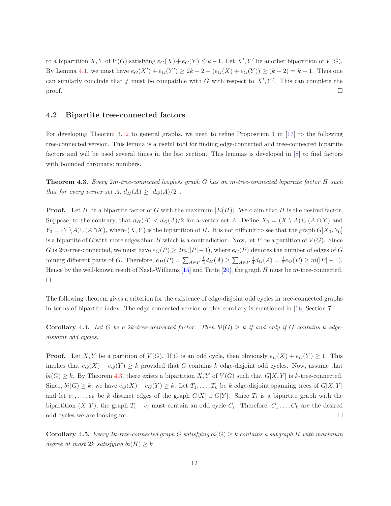to a bipartition X, Y of  $V(G)$  satisfying  $e_G(X) + e_G(Y) \leq k - 1$ . Let  $X', Y'$  be another bipartition of  $V(G)$ . By Lemma [4.1,](#page-10-1) we must have  $e_G(X') + e_G(Y') \ge 2k - 2 - (e_G(X) + e_G(Y)) \ge (k - 2) = k - 1$ . Thus one can similarly conclude that f must be compatible with G with respect to  $X', Y'$ . This can complete the  $\Box$ 

### 4.2 Bipartite tree-connected factors

For developing Theorem [3.12](#page-8-1) to general graphs, we need to refine Proposition 1 in [\[17\]](#page-18-12) to the following tree-connected version. This lemma is a useful tool for finding edge-connected and tree-connected bipartite factors and will be used several times in the last section. This lemmas is developed in [\[8\]](#page-18-13) to find factors with bounded chromatic numbers.

<span id="page-11-0"></span>Theorem 4.3. *Every* 2m*-tree-connected loopless graph* G *has an* m*-tree-connected bipartite factor* H *such that for every vertex set*  $A$ ,  $d_H(A) \geq [d_G(A)/2]$ .

**Proof.** Let H be a bipartite factor of G with the maximum  $|E(H)|$ . We claim that H is the desired factor. Suppose, to the contrary, that  $d_H(A) < d_G(A)/2$  for a vertex set A. Define  $X_0 = (X \setminus A) \cup (A \cap Y)$  and  $Y_0 = (Y \setminus A) \cup (A \cap X)$ , where  $(X, Y)$  is the bipartition of H. It is not difficult to see that the graph  $G[X_0, Y_0]$ is a bipartite of G with more edges than H which is a contradiction. Now, let P be a partition of  $V(G)$ . Since G is 2m-tree-connected, we must have  $e_G(P) \geq 2m(|P|-1)$ , where  $e_G(P)$  denotes the number of edges of G joining different parts of G. Therefore,  $e_H(P) = \sum_{A \in P} \frac{1}{2} d_H(A) \ge \sum_{A \in P} \frac{1}{4} d_G(A) = \frac{1}{2} e_G(P) \ge m(|P| - 1)$ . Hence by the well-known result of Nash-Williams  $[15]$  and Tutte  $[20]$ , the graph H must be m-tree-connected.  $\Box$ 

<span id="page-11-1"></span>The following theorem gives a criterion for the existence of edge-disjoint odd cycles in tree-connected graphs in terms of bipartite index. The edge-connected version of this corollary is mentioned in [\[16,](#page-18-14) Section 7].

Corollary 4.4. Let G be a 2k-tree-connected factor. Then  $bi(G) \geq k$  if and only if G contains k edge*disjoint odd cycles.*

**Proof.** Let X, Y be a partition of  $V(G)$ . If C is an odd cycle, then obviously  $e_C(X) + e_C(Y) \ge 1$ . This implies that  $e_G(X) + e_G(Y) \geq k$  provided that G contains k edge-disjoint odd cycles. Now, assume that  $bi(G) \geq k$ . By Theorem [4.3,](#page-11-0) there exists a bipartition X, Y of  $V(G)$  such that  $G[X, Y]$  is k-tree-connected. Since,  $bi(G) \geq k$ , we have  $e_G(X) + e_G(Y) \geq k$ . Let  $T_1, \ldots, T_k$  be k edge-disjoint spanning trees of  $G[X, Y]$ and let  $e_1, \ldots, e_k$  be k distinct edges of the graph  $G[X] \cup G[Y]$ . Since  $T_i$  is a bipartite graph with the bipartition  $(X, Y)$ , the graph  $T_i + e_i$  must contain an odd cycle  $C_i$ . Therefore,  $C_1 \ldots, C_k$  are the desired odd cycles we are looking for.

**Corollary 4.5.** *Every* 2k-tree-connected graph G satisfying  $bi(G) \geq k$  contains a subgraph H with maximum *degree at most* 2k *satisfying*  $bi(H) \geq k$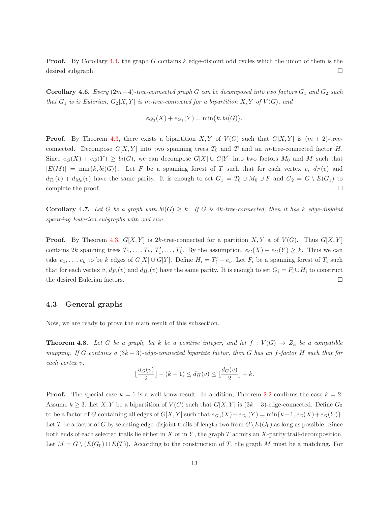<span id="page-12-2"></span>**Proof.** By Corollary [4.4,](#page-11-1) the graph G contains k edge-disjoint odd cycles which the union of them is the desired subgraph.

**Corollary 4.6.** *Every*  $(2m+4)$ -tree-connected graph G can be decomposed into two factors  $G_1$  and  $G_2$  *such that*  $G_1$  *is is Eulerian,*  $G_2[X, Y]$  *is m-tree-connected for a bipartition*  $X, Y$  *of*  $V(G)$ *, and* 

$$
e_{G_2}(X) + e_{G_2}(Y) = \min\{k, bi(G)\}.
$$

**Proof.** By Theorem [4.3,](#page-11-0) there exists a bipartition X, Y of  $V(G)$  such that  $G[X, Y]$  is  $(m + 2)$ -treeconnected. Decompose  $G[X, Y]$  into two spanning trees  $T_0$  and  $T$  and an m-tree-connected factor H. Since  $e_G(X) + e_G(Y) \ge bi(G)$ , we can decompose  $G[X] \cup G[Y]$  into two factors  $M_0$  and M such that  $|E(M)| = \min\{k, bi(G)\}.$  Let F be a spanning forest of T such that for each vertex v,  $d_F(v)$  and  $d_{T_0}(v) + d_{M_0}(v)$  have the same parity. It is enough to set  $G_1 = T_0 \cup M_0 \cup F$  and  $G_2 = G \setminus E(G_1)$  to complete the proof.  $\Box$ 

Corollary 4.7. Let G be a graph with  $bi(G) \geq k$ . If G is  $4k$ -tree-connected, then it has k edge-disjoint *spanning Eulerian subgraphs with odd size.*

**Proof.** By Theorem [4.3,](#page-11-0)  $G[X, Y]$  is 2k-tree-connected for a partition X, Y a of  $V(G)$ . Thus  $G[X, Y]$ contains  $2k$  spanning trees  $T_1, \ldots, T_k, T'_1, \ldots, T'_k$ . By the assumption,  $e_G(X) + e_G(Y) \geq k$ . Thus we can take  $e_1, \ldots, e_k$  to be k edges of  $G[X] \cup G[Y]$ . Define  $H_i = T'_i + e_i$ . Let  $F_i$  be a spanning forest of  $T_i$  such that for each vertex v,  $d_{F_i}(v)$  and  $d_{H_i}(v)$  have the same parity. It is enough to set  $G_i = F_i \cup H_i$  to construct the desired Eulerian factors.

#### <span id="page-12-0"></span>4.3 General graphs

Now, we are ready to prove the main result of this subsection.

**Theorem 4.8.** Let G be a graph, let k be a positive integer, and let  $f: V(G) \to Z_k$  be a compatible *mapping. If* G *contains a* (3k − 3)*-edge-connected bipartite factor, then* G *has an* f*-factor* H *such that for each vertex* v*,*

<span id="page-12-1"></span>
$$
\lfloor \frac{d_G(v)}{2} \rfloor - (k-1) \le d_H(v) \le \lfloor \frac{d_G(v)}{2} \rfloor + k.
$$

**Proof.** The special case  $k = 1$  is a well-konw result. In addition, Theorem [2.2](#page-3-0) confirms the case  $k = 2$ . Assume  $k \geq 3$ . Let X, Y be a bipartition of  $V(G)$  such that  $G[X, Y]$  is  $(3k-3)$ -edge-connected. Define  $G_0$ to be a factor of G containing all edges of  $G[X, Y]$  such that  $e_{G_0}(X) + e_{G_0}(Y) = \min\{k-1, e_G(X) + e_G(Y)\}.$ Let T be a factor of G by selecting edge-disjoint trails of length two from  $G\backslash E(G_0)$  as long as possible. Since both ends of each selected trails lie either in X or in Y, the graph  $T$  admits an X-parity trail-decomposition. Let  $M = G \setminus (E(G_0) \cup E(T))$ . According to the construction of T, the graph M must be a matching. For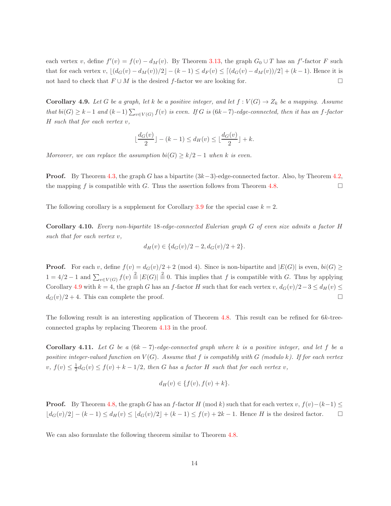each vertex v, define  $f'(v) = f(v) - d<sub>M</sub>(v)$ . By Theorem [3.13,](#page-8-0) the graph  $G<sub>0</sub> \cup T$  has an f'-factor F such that for each vertex v,  $\lfloor (d_G(v) - d_M(v))/2 \rfloor - (k-1) \le d_F(v) \le \lceil (d_G(v) - d_M(v))/2 \rceil + (k-1)$ . Hence it is not hard to check that  $F \cup M$  is the desired f-factor we are looking for.

<span id="page-13-0"></span>**Corollary 4.9.** Let G be a graph, let k be a positive integer, and let  $f: V(G) \to Z_k$  be a mapping. Assume *that*  $bi(G) \geq k-1$  and  $(k-1)\sum_{v\in V(G)} f(v)$  *is even.* If G *is* (6k−7)-edge-connected, then *it* has an f-factor H *such that for each vertex* v*,*

$$
\lfloor \frac{d_G(v)}{2} \rfloor - (k-1) \le d_H(v) \le \lfloor \frac{d_G(v)}{2} \rfloor + k.
$$

*Moreover, we can replace the assumption*  $bi(G) \geq k/2 - 1$  *when* k *is even.* 

**Proof.** By Theorem [4.3,](#page-11-0) the graph G has a bipartite  $(3k-3)$ -edge-connected factor. Also, by Theorem [4.2,](#page-10-2) the mapping f is compatible with G. Thus the assertion follows from Theorem [4.8.](#page-12-1)

The following corollary is a supplement for Corollary [3.9](#page-7-0) for the special case  $k = 2$ .

Corollary 4.10. *Every non-bipartite* 18*-edge-connected Eulerian graph* G *of even size admits a factor* H *such that for each vertex* v*,*

$$
d_H(v) \in \{d_G(v)/2 - 2, d_G(v)/2 + 2\}.
$$

**Proof.** For each v, define  $f(v) = d_G(v)/2 + 2 \pmod{4}$ . Since is non-bipartite and  $|E(G)|$  is even,  $bi(G) \ge$  $1 = 4/2 - 1$  and  $\sum_{v \in V(G)} f(v) \stackrel{2}{\equiv} |E(G)| \stackrel{2}{\equiv} 0$ . This implies that f is compatible with G. Thus by applying Corollary [4.9](#page-13-0) with  $k = 4$ , the graph G has an f-factor H such that for each vertex v,  $d_G(v)/2-3 \le d_H(v) \le$  $d_G(v)/2 + 4$ . This can complete the proof.

The following result is an interesting application of Theorem [4.8.](#page-12-1) This result can be refined for 6k-treeconnected graphs by replacing Theorem [4.13](#page-14-0) in the proof.

Corollary 4.11. *Let* G *be a* (6k − 7)*-edge-connected graph where* k *is a positive integer, and let* f *be a positive integer-valued function on*  $V(G)$ *. Assume that* f *is compatibly with* G *(modulo k). If for each vertex*  $v, f(v) \leq \frac{1}{2}d_G(v) \leq f(v) + k - \frac{1}{2}$ , then G has a factor H such that for each vertex v,

<span id="page-13-1"></span>
$$
d_H(v) \in \{f(v), f(v) + k\}.
$$

**Proof.** By Theorem [4.8,](#page-12-1) the graph G has an f-factor H (mod k) such that for each vertex v,  $f(v) - (k-1) \leq$  $\lfloor d_G(v)/2 \rfloor - (k-1) \le d_H(v) \le \lfloor d_G(v)/2 \rfloor + (k-1) \le f(v) + 2k - 1$ . Hence H is the desired factor.  $\Box$ 

We can also formulate the following theorem similar to Theorem [4.8.](#page-12-1)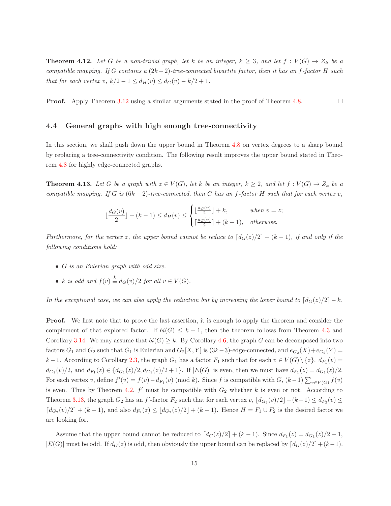**Theorem 4.12.** Let G be a non-trivial graph, let k be an integer,  $k \geq 3$ , and let  $f : V(G) \to Z_k$  be a *compatible mapping. If* G *contains a* (2k −2)*-tree-connected bipartite factor, then it has an* f*-factor* H *such that for each vertex* v,  $k/2 - 1 \le d_H(v) \le d_G(v) - k/2 + 1$ .

**Proof.** Apply Theorem [3.12](#page-8-1) using a similar arguments stated in the proof of Theorem [4.8.](#page-12-1)

#### 4.4 General graphs with high enough tree-connectivity

In this section, we shall push down the upper bound in Theorem [4.8](#page-12-1) on vertex degrees to a sharp bound by replacing a tree-connectivity condition. The following result improves the upper bound stated in Theorem [4.8](#page-12-1) for highly edge-connected graphs.

**Theorem 4.13.** Let G be a graph with  $z \in V(G)$ , let k be an integer,  $k \geq 2$ , and let  $f : V(G) \to Z_k$  be a *compatible mapping. If* G *is*  $(6k-2)$ *-tree-connected, then* G *has an* f-factor H such that for each vertex v,

<span id="page-14-0"></span>
$$
\lfloor \frac{d_G(v)}{2} \rfloor - (k-1) \le d_H(v) \le \begin{cases} \lfloor \frac{d_G(v)}{2} \rfloor + k, & \text{when } v = z; \\ \lceil \frac{d_G(v)}{2} \rceil + (k-1), & \text{otherwise.} \end{cases}
$$

*Furthermore, for the vertex* z, the upper bound cannot be reduce to  $\lceil d_G(z)/2 \rceil + (k-1)$ , if and only if the *following conditions hold:*

- G *is an Eulerian graph with odd size.*
- k is odd and  $f(v) \stackrel{k}{\equiv} d_G(v)/2$  for all  $v \in V(G)$ *.*

*In the exceptional case, we can also apply the reduction but by increasing the lower bound to*  $\left[ d_G(z)/2 \right] - k$ .

**Proof.** We first note that to prove the last assertion, it is enough to apply the theorem and consider the complement of that explored factor. If  $bi(G) \leq k-1$ , then the theorem follows from Theorem [4.3](#page-11-0) and Corollary [3.14.](#page-9-0) We may assume that  $bi(G) \geq k$ . By Corollary [4.6,](#page-12-2) the graph G can be decomposed into two factors  $G_1$  and  $G_2$  such that  $G_1$  is Eulerian and  $G_2[X, Y]$  is  $(3k-3)$ -edge-connected, and  $e_{G_2}(X) + e_{G_2}(Y) =$ k −1. According to Corollary [2.3,](#page-3-1) the graph  $G_1$  has a factor  $F_1$  such that for each  $v \in V(G) \setminus \{z\}$ .  $d_{F_1}(v) =$  $d_{G_1}(v)/2$ , and  $d_{F_1}(z) \in \{d_{G_1}(z)/2, d_{G_1}(z)/2+1\}$ . If  $|E(G)|$  is even, then we must have  $d_{F_1}(z) = d_{G_1}(z)/2$ . For each vertex v, define  $f'(v) = f(v) - d_{F_1}(v)$  (mod k). Since f is compatible with  $G$ ,  $(k-1) \sum_{v \in V(G)} f(v)$ is even. Thus by Theorem [4.2,](#page-10-2)  $f'$  must be compatible with  $G_2$  whether k is even or not. According to Theorem [3.13,](#page-8-0) the graph  $G_2$  has an f'-factor  $F_2$  such that for each vertex v,  $\lfloor d_{G_2}(v)/2 \rfloor - (k-1) \le d_{F_2}(v) \le$  $\lceil d_{G_2}(v)/2 \rceil + (k-1)$ , and also  $d_{F_2}(z) \leq \lfloor d_{G_2}(z)/2 \rfloor + (k-1)$ . Hence  $H = F_1 \cup F_2$  is the desired factor we are looking for.

Assume that the upper bound cannot be reduced to  $\lceil d_G(z)/2 \rceil + (k-1)$ . Since  $d_{F_1}(z) = d_{G_1}(z)/2 + 1$ ,  $|E(G)|$  must be odd. If  $d_G(z)$  is odd, then obviously the upper bound can be replaced by  $\lceil d_G(z)/2 \rceil + (k-1)$ .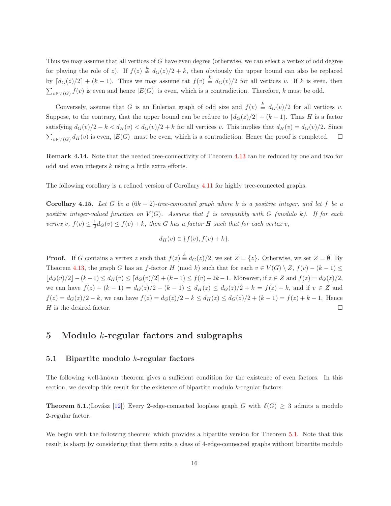Thus we may assume that all vertices of G have even degree (otherwise, we can select a vertex of odd degree for playing the role of z). If  $f(z) \neq d_G(z)/2 + k$ , then obviously the upper bound can also be replaced by  $\lceil d_G(z)/2 \rceil + (k-1)$ . Thus we may assume tat  $f(v) \stackrel{k}{\equiv} d_G(v)/2$  for all vertices v. If k is even, then  $\sum_{v \in V(G)} f(v)$  is even and hence  $|E(G)|$  is even, which is a contradiction. Therefore, k must be odd.

Conversely, assume that G is an Eulerian graph of odd size and  $f(v) \triangleq d_G(v)/2$  for all vertices v. Suppose, to the contrary, that the upper bound can be reduce to  $\lceil d_G(z)/2 \rceil + (k-1)$ . Thus H is a factor satisfying  $d_G(v)/2 - k < d_H(v) < d_G(v)/2 + k$  for all vertices v. This implies that  $d_H(v) = d_G(v)/2$ . Since  $\sum_{v \in V(G)} d_H(v)$  is even,  $|E(G)|$  must be even, which is a contradiction. Hence the proof is completed.  $\Box$ 

Remark 4.14. Note that the needed tree-connectivity of Theorem [4.13](#page-14-0) can be reduced by one and two for odd and even integers k using a little extra efforts.

The following corollary is a refined version of Corollary [4.11](#page-13-1) for highly tree-connected graphs.

Corollary 4.15. Let G be a  $(6k - 2)$ -tree-connected graph where k is a positive integer, and let f be a *positive integer-valued function on*  $V(G)$ *. Assume that* f *is compatibly with* G *(modulo k). If for each vertex* v,  $f(v) \leq \frac{1}{2}d_G(v) \leq f(v) + k$ , then G has a factor H such that for each vertex v,

<span id="page-15-1"></span>
$$
d_H(v) \in \{f(v), f(v) + k\}.
$$

**Proof.** If G contains a vertex z such that  $f(z) \stackrel{k}{\equiv} d_G(z)/2$ , we set  $Z = \{z\}$ . Otherwise, we set  $Z = \emptyset$ . By Theorem [4.13,](#page-14-0) the graph G has an f-factor H (mod k) such that for each  $v \in V(G) \setminus Z$ ,  $f(v) - (k-1) \le$  $|d_G(v)/2| - (k-1) \leq d_H(v) \leq [d_G(v)/2] + (k-1) \leq f(v) + 2k-1$ . Moreover, if  $z \in Z$  and  $f(z) = d_G(z)/2$ , we can have  $f(z) - (k - 1) = d_G(z)/2 - (k - 1) \le d_H(z) \le d_G(z)/2 + k = f(z) + k$ , and if  $v \in Z$  and  $f(z) = d_G(z)/2 - k$ , we can have  $f(z) = d_G(z)/2 - k \le d_H(z) \le d_G(z)/2 + (k-1) = f(z) + k - 1$ . Hence H is the desired factor.  $\Box$ 

## <span id="page-15-0"></span>5 Modulo  $k$ -regular factors and subgraphs

#### 5.1 Bipartite modulo  $k$ -regular factors

The following well-known theorem gives a sufficient condition for the existence of even factors. In this section, we develop this result for the existence of bipartite modulo k-regular factors.

**Theorem 5.1.**(Lovász [\[12\]](#page-18-15)) Every 2-edge-connected loopless graph G with  $\delta(G) \geq 3$  admits a modulo 2-regular factor.

We begin with the following theorem which provides a bipartite version for Theorem [5.1.](#page-15-1) Note that this result is sharp by considering that there exits a class of 4-edge-connected graphs without bipartite modulo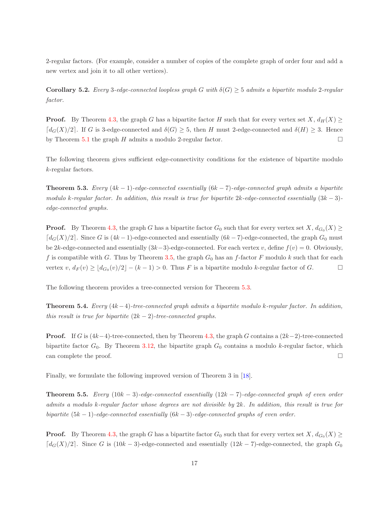2-regular factors. (For example, consider a number of copies of the complete graph of order four and add a new vertex and join it to all other vertices).

**Corollary 5.2.** *Every* 3*-edge-connected loopless graph* G *with*  $\delta(G) \geq 5$  *admits a bipartite modulo* 2*-regular factor.*

**Proof.** By Theorem [4.3,](#page-11-0) the graph G has a bipartite factor H such that for every vertex set  $X$ ,  $d_H(X) \ge$  $\lceil d_G(X)/2 \rceil$ . If G is 3-edge-connected and  $\delta(G) \geq 5$ , then H must 2-edge-connected and  $\delta(H) \geq 3$ . Hence by Theorem [5.1](#page-15-1) the graph H admits a modulo 2-regular factor.  $\square$ 

<span id="page-16-0"></span>The following theorem gives sufficient edge-connectivity conditions for the existence of bipartite modulo k-regular factors.

Theorem 5.3. *Every* (4k − 1)*-edge-connected essentially* (6k − 7)*-edge-connected graph admits a bipartite modulo* k*-regular factor. In addition, this result is true for bipartite* 2k*-edge-connected essentially* (3k − 3) *edge-connected graphs.*

**Proof.** By Theorem [4.3,](#page-11-0) the graph G has a bipartite factor  $G_0$  such that for every vertex set  $X$ ,  $d_{G_0}(X) \ge$  $\lceil d_G(X)/2 \rceil$ . Since G is  $(4k-1)$ -edge-connected and essentially  $(6k-7)$ -edge-connected, the graph  $G_0$  must be 2k-edge-connected and essentially  $(3k-3)$ -edge-connected. For each vertex v, define  $f(v) = 0$ . Obviously, f is compatible with G. Thus by Theorem [3.5,](#page-5-1) the graph  $G_0$  has an f-factor F modulo k such that for each vertex  $v, d_F(v) \geq \lfloor d_{G_0}(v)/2 \rfloor - (k-1) > 0$ . Thus F is a bipartite modulo k-regular factor of G.

The following theorem provides a tree-connected version for Theorem [5.3.](#page-16-0)

Theorem 5.4. *Every* (4k−4)*-tree-connected graph admits a bipartite modulo* k*-regular factor. In addition, this result is true for bipartite*  $(2k - 2)$ *-tree-connected graphs.* 

**Proof.** If G is  $(4k-4)$ -tree-connected, then by Theorem [4.3,](#page-11-0) the graph G contains a  $(2k-2)$ -tree-connected bipartite factor  $G_0$ . By Theorem [3.12,](#page-8-1) the bipartite graph  $G_0$  contains a modulo k-regular factor, which can complete the proof.

Finally, we formulate the following improved version of Theorem 3 in [\[18\]](#page-18-1).

Theorem 5.5. *Every* (10k − 3)*-edge-connected essentially* (12k − 7)*-edge-connected graph of even order admits a modulo* k*-regular factor whose degrees are not divisible by* 2k*. In addition, this result is true for bipartite* (5k − 1)*-edge-connected essentially* (6k − 3)*-edge-connected graphs of even order.*

**Proof.** By Theorem [4.3,](#page-11-0) the graph G has a bipartite factor  $G_0$  such that for every vertex set  $X$ ,  $d_{G_0}(X) \ge$  $\lceil d_G(X)/2 \rceil$ . Since G is  $(10k-3)$ -edge-connected and essentially  $(12k-7)$ -edge-connected, the graph  $G_0$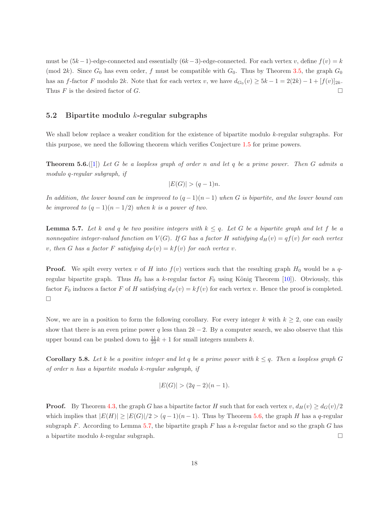must be  $(5k-1)$ -edge-connected and essentially  $(6k-3)$ -edge-connected. For each vertex v, define  $f(v) = k$ (mod 2k). Since  $G_0$  has even order, f must be compatible with  $G_0$ . Thus by Theorem [3.5,](#page-5-1) the graph  $G_0$ has an f-factor F modulo 2k. Note that for each vertex v, we have  $d_{G_0}(v) \ge 5k - 1 = 2(2k) - 1 + [f(v)]_{2k}$ . Thus F is the desired factor of G.

### 5.2 Bipartite modulo  $k$ -regular subgraphs

We shall below replace a weaker condition for the existence of bipartite modulo  $k$ -regular subgraphs. For this purpose, we need the following theorem which verifies Conjecture [1.5](#page-2-1) for prime powers.

Theorem 5.6.([\[1\]](#page-18-3)) *Let* G *be a loopless graph of order* n *and let* q *be a prime power. Then* G *admits a modulo* q*-regular subgraph, if*

<span id="page-17-0"></span>
$$
|E(G)| > (q-1)n.
$$

<span id="page-17-1"></span>*In addition, the lower bound can be improved to*  $(q-1)(n-1)$  *when G is bipartite, and the lower bound can be improved to*  $(q-1)(n-1/2)$  *when* k *is a power of two.* 

**Lemma 5.7.** Let k and q be two positive integers with  $k \leq q$ . Let G be a bipartite graph and let f be a *nonnegative integer-valued function on*  $V(G)$ *. If* G has a factor H satisfying  $d_H(v) = qf(v)$  for each vertex *v*, then G has a factor F satisfying  $d_F(v) = kf(v)$  for each vertex v.

**Proof.** We spilt every vertex v of H into  $f(v)$  vertices such that the resulting graph  $H_0$  would be a  $q$ regular bipartite graph. Thus  $H_0$  has a k-regular factor  $F_0$  using König Theorem [\[10\]](#page-18-16)). Obviously, this factor  $F_0$  induces a factor F of H satisfying  $d_F(v) = kf(v)$  for each vertex v. Hence the proof is completed.  $\Box$ 

Now, we are in a position to form the following corollary. For every integer k with  $k \geq 2$ , one can easily show that there is an even prime power q less than  $2k - 2$ . By a computer search, we also observe that this upper bound can be pushed down to  $\frac{11}{10}k + 1$  for small integers numbers k.

**Corollary 5.8.** Let k be a positive integer and let q be a prime power with  $k \leq q$ . Then a loopless graph G *of order* n *has a bipartite modulo* k*-regular subgraph, if*

$$
|E(G)| > (2q - 2)(n - 1).
$$

**Proof.** By Theorem [4.3,](#page-11-0) the graph G has a bipartite factor H such that for each vertex  $v$ ,  $d_H(v) \geq d_G(v)/2$ which implies that  $|E(H)| \geq |E(G)|/2 > (q-1)(n-1)$ . Thus by Theorem [5.6,](#page-17-0) the graph H has a q-regular subgraph F. According to Lemma [5.7,](#page-17-1) the bipartite graph F has a  $k$ -regular factor and so the graph G has a bipartite modulo k-regular subgraph.  $\square$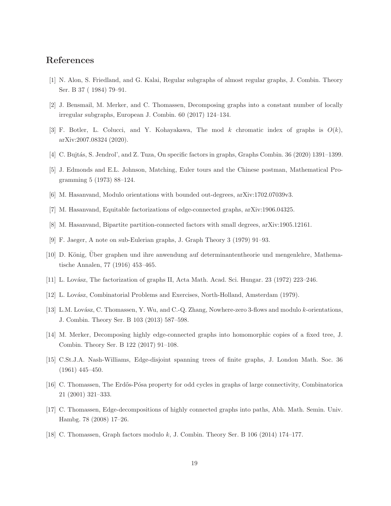# <span id="page-18-3"></span>References

- <span id="page-18-10"></span>[1] N. Alon, S. Friedland, and G. Kalai, Regular subgraphs of almost regular graphs, J. Combin. Theory Ser. B 37 ( 1984) 79–91.
- <span id="page-18-2"></span>[2] J. Bensmail, M. Merker, and C. Thomassen, Decomposing graphs into a constant number of locally irregular subgraphs, European J. Combin. 60 (2017) 124–134.
- <span id="page-18-6"></span>[3] F. Botler, L. Colucci, and Y. Kohayakawa, The mod k chromatic index of graphs is  $O(k)$ , arXiv:2007.08324 (2020).
- <span id="page-18-5"></span>[4] C. Bujtás, S. Jendrol', and Z. Tuza, On specific factors in graphs, Graphs Combin. 36 (2020) 1391–1399.
- <span id="page-18-8"></span>[5] J. Edmonds and E.L. Johnson, Matching, Euler tours and the Chinese postman, Mathematical Programming 5 (1973) 88–124.
- <span id="page-18-7"></span>[6] M. Hasanvand, Modulo orientations with bounded out-degrees, arXiv:1702.07039v3.
- <span id="page-18-13"></span>[7] M. Hasanvand, Equitable factorizations of edge-connected graphs, arXiv:1906.04325.
- [8] M. Hasanvand, Bipartite partition-connected factors with small degrees, arXiv:1905.12161.
- <span id="page-18-16"></span>[9] F. Jaeger, A note on sub-Eulerian graphs, J. Graph Theory 3 (1979) 91–93.
- <span id="page-18-4"></span>[10] D. König, Über graphen und ihre anwendung auf determinantentheorie und mengenlehre, Mathematische Annalen, 77 (1916) 453–465.
- <span id="page-18-15"></span>[11] L. Lov´asz, The factorization of graphs II, Acta Math. Acad. Sci. Hungar. 23 (1972) 223–246.
- <span id="page-18-9"></span>[12] L. Lovász, Combinatorial Problems and Exercises, North-Holland, Amsterdam (1979).
- <span id="page-18-11"></span>[13] L.M. Lovász, C. Thomassen, Y. Wu, and C.-Q. Zhang, Nowhere-zero 3-flows and modulo k-orientations, J. Combin. Theory Ser. B 103 (2013) 587–598.
- <span id="page-18-0"></span>[14] M. Merker, Decomposing highly edge-connected graphs into homomorphic copies of a fixed tree, J. Combin. Theory Ser. B 122 (2017) 91–108.
- <span id="page-18-14"></span>[15] C.St.J.A. Nash-Williams, Edge-disjoint spanning trees of finite graphs, J. London Math. Soc. 36 (1961) 445–450.
- <span id="page-18-12"></span>[16] C. Thomassen, The Erdős-Pósa property for odd cycles in graphs of large connectivity, Combinatorica 21 (2001) 321–333.
- <span id="page-18-1"></span>[17] C. Thomassen, Edge-decompositions of highly connected graphs into paths, Abh. Math. Semin. Univ. Hambg. 78 (2008) 17–26.
- [18] C. Thomassen, Graph factors modulo k, J. Combin. Theory Ser. B 106 (2014) 174–177.